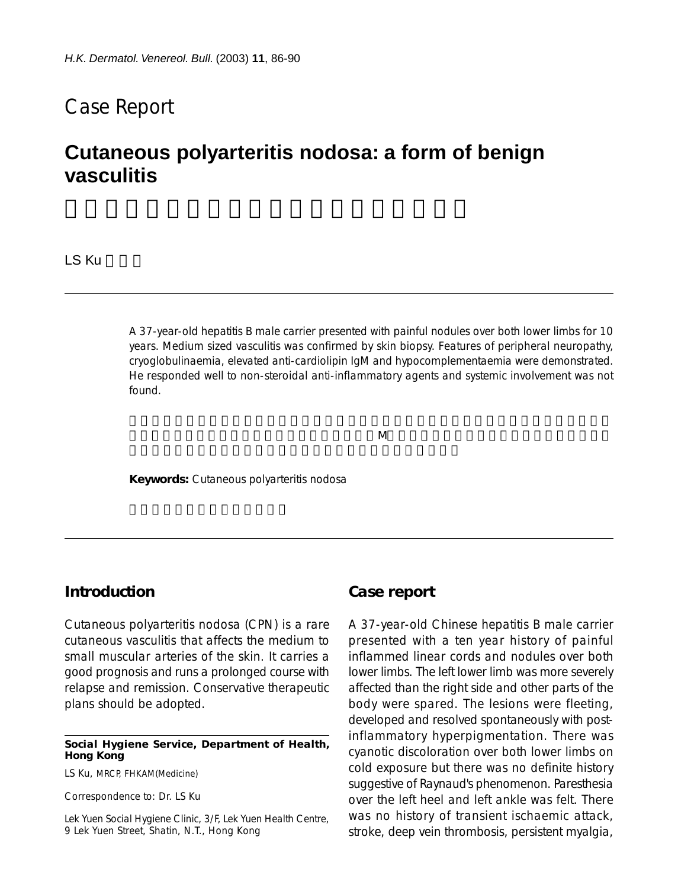## Case Report

# **Cutaneous polyarteritis nodosa: a form of benign vasculitis**

LS Ku

A 37-year-old hepatitis B male carrier presented with painful nodules over both lower limbs for 10 years. Medium sized vasculitis was confirmed by skin biopsy. Features of peripheral neuropathy, cryoglobulinaemia, elevated anti-cardiolipin IgM and hypocomplementaemia were demonstrated. He responded well to non-steroidal anti-inflammatory agents and systemic involvement was not found.

 $M$ 

**Keywords:** Cutaneous polyarteritis nodosa

## **Introduction**

Cutaneous polyarteritis nodosa (CPN) is a rare cutaneous vasculitis that affects the medium to small muscular arteries of the skin. It carries a good prognosis and runs a prolonged course with relapse and remission. Conservative therapeutic plans should be adopted.

#### **Social Hygiene Service, Department of Health, Hong Kong**

LS Ku, MRCP, FHKAM(Medicine)

Correspondence to: Dr. LS Ku

Lek Yuen Social Hygiene Clinic, 3/F, Lek Yuen Health Centre, 9 Lek Yuen Street, Shatin, N.T., Hong Kong

### **Case report**

A 37-year-old Chinese hepatitis B male carrier presented with a ten year history of painful inflammed linear cords and nodules over both lower limbs. The left lower limb was more severely affected than the right side and other parts of the body were spared. The lesions were fleeting, developed and resolved spontaneously with postinflammatory hyperpigmentation. There was cyanotic discoloration over both lower limbs on cold exposure but there was no definite history suggestive of Raynaud's phenomenon. Paresthesia over the left heel and left ankle was felt. There was no history of transient ischaemic attack, stroke, deep vein thrombosis, persistent myalgia,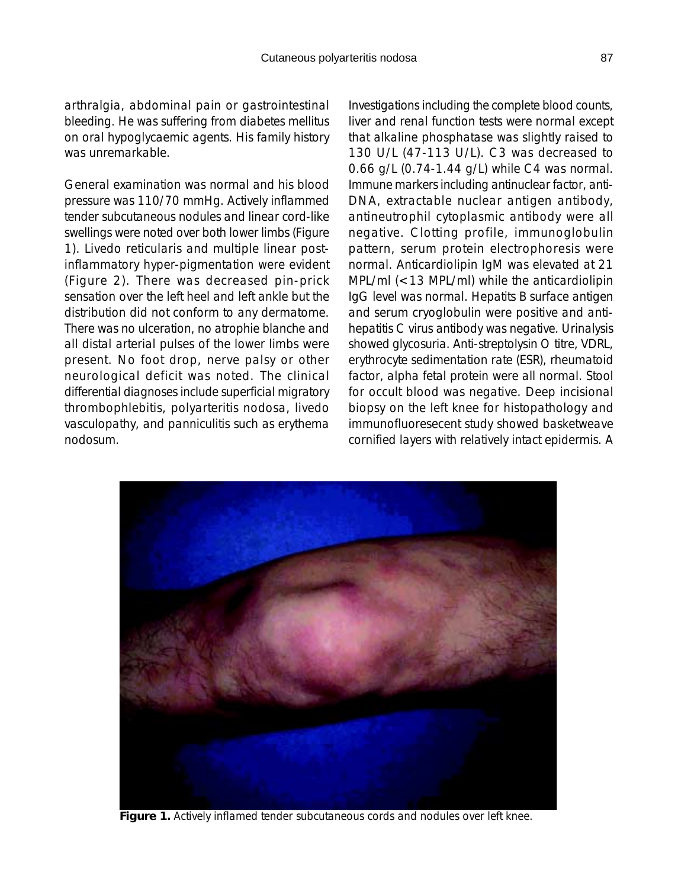arthralgia, abdominal pain or gastrointestinal bleeding. He was suffering from diabetes mellitus on oral hypoglycaemic agents. His family history was unremarkable.

General examination was normal and his blood pressure was 110/70 mmHg. Actively inflammed tender subcutaneous nodules and linear cord-like swellings were noted over both lower limbs (Figure 1). Livedo reticularis and multiple linear postinflammatory hyper-pigmentation were evident (Figure 2). There was decreased pin-prick sensation over the left heel and left ankle but the distribution did not conform to any dermatome. There was no ulceration, no atrophie blanche and all distal arterial pulses of the lower limbs were present. No foot drop, nerve palsy or other neurological deficit was noted. The clinical differential diagnoses include superficial migratory thrombophlebitis, polyarteritis nodosa, livedo vasculopathy, and panniculitis such as erythema nodosum.

Investigations including the complete blood counts, liver and renal function tests were normal except that alkaline phosphatase was slightly raised to 130 U/L (47-113 U/L). C3 was decreased to 0.66 g/L (0.74-1.44 g/L) while C4 was normal. Immune markers including antinuclear factor, anti-DNA, extractable nuclear antigen antibody, antineutrophil cytoplasmic antibody were all negative. Clotting profile, immunoglobulin pattern, serum protein electrophoresis were normal. Anticardiolipin IgM was elevated at 21 MPL/ml (<13 MPL/ml) while the anticardiolipin IgG level was normal. Hepatits B surface antigen and serum cryoglobulin were positive and antihepatitis C virus antibody was negative. Urinalysis showed glycosuria. Anti-streptolysin O titre, VDRL, erythrocyte sedimentation rate (ESR), rheumatoid factor, alpha fetal protein were all normal. Stool for occult blood was negative. Deep incisional biopsy on the left knee for histopathology and immunofluoresecent study showed basketweave cornified layers with relatively intact epidermis. A



**Figure 1.** Actively inflamed tender subcutaneous cords and nodules over left knee.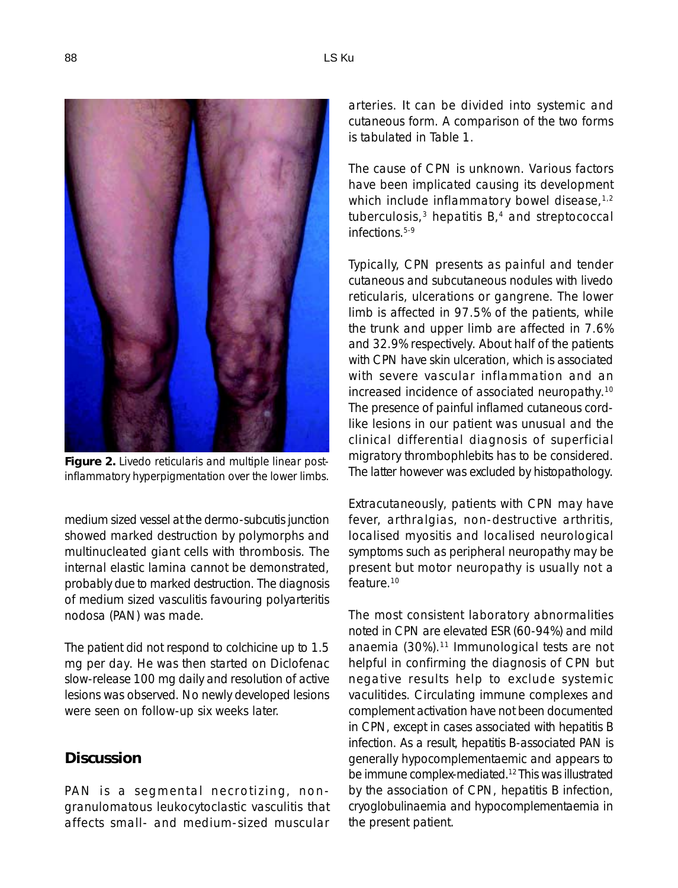

**Figure 2.** Livedo reticularis and multiple linear postinflammatory hyperpigmentation over the lower limbs.

medium sized vessel at the dermo-subcutis junction showed marked destruction by polymorphs and multinucleated giant cells with thrombosis. The internal elastic lamina cannot be demonstrated, probably due to marked destruction. The diagnosis of medium sized vasculitis favouring polyarteritis nodosa (PAN) was made.

The patient did not respond to colchicine up to 1.5 mg per day. He was then started on Diclofenac slow-release 100 mg daily and resolution of active lesions was observed. No newly developed lesions were seen on follow-up six weeks later.

## **Discussion**

PAN is a segmental necrotizing, nongranulomatous leukocytoclastic vasculitis that affects small- and medium-sized muscular arteries. It can be divided into systemic and cutaneous form. A comparison of the two forms is tabulated in Table 1.

The cause of CPN is unknown. Various factors have been implicated causing its development which include inflammatory bowel disease, $1,2$ tuberculosis, $3$  hepatitis  $B<sub>1</sub>4$  and streptococcal infections.5-9

Typically, CPN presents as painful and tender cutaneous and subcutaneous nodules with livedo reticularis, ulcerations or gangrene. The lower limb is affected in 97.5% of the patients, while the trunk and upper limb are affected in 7.6% and 32.9% respectively. About half of the patients with CPN have skin ulceration, which is associated with severe vascular inflammation and an increased incidence of associated neuropathy.10 The presence of painful inflamed cutaneous cordlike lesions in our patient was unusual and the clinical differential diagnosis of superficial migratory thrombophlebits has to be considered. The latter however was excluded by histopathology.

Extracutaneously, patients with CPN may have fever, arthralgias, non-destructive arthritis, localised myositis and localised neurological symptoms such as peripheral neuropathy may be present but motor neuropathy is usually not a feature.<sup>10</sup>

The most consistent laboratory abnormalities noted in CPN are elevated ESR (60-94%) and mild anaemia (30%).11 Immunological tests are not helpful in confirming the diagnosis of CPN but negative results help to exclude systemic vaculitides. Circulating immune complexes and complement activation have not been documented in CPN, except in cases associated with hepatitis B infection. As a result, hepatitis B-associated PAN is generally hypocomplementaemic and appears to be immune complex-mediated.12 This was illustrated by the association of CPN, hepatitis B infection, cryoglobulinaemia and hypocomplementaemia in the present patient.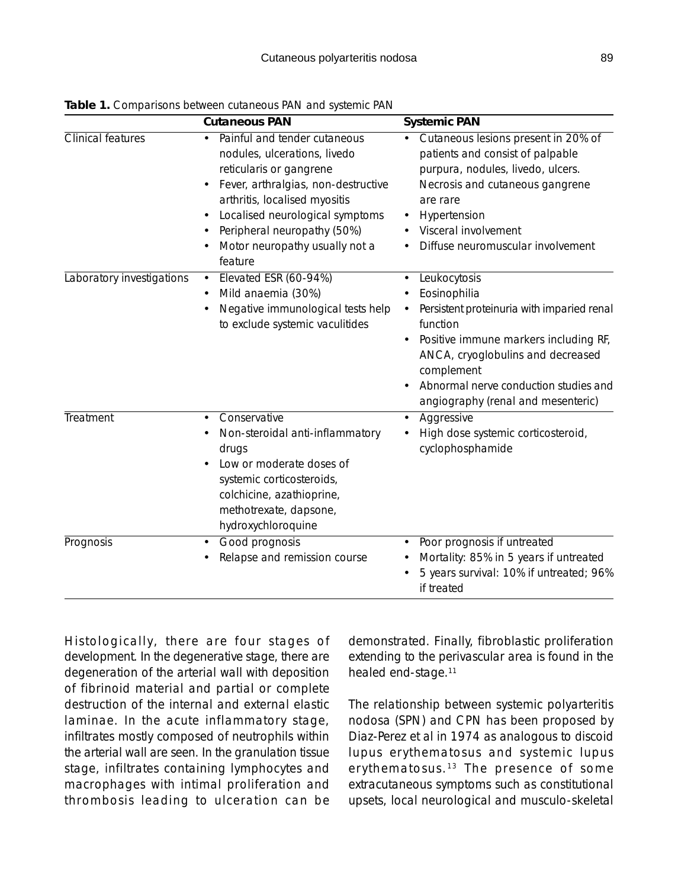|                           | <b>Cutaneous PAN</b>                                                                                                                                                                                                                                                                        | <b>Systemic PAN</b>                                                                                                                                                                                                                                                                         |
|---------------------------|---------------------------------------------------------------------------------------------------------------------------------------------------------------------------------------------------------------------------------------------------------------------------------------------|---------------------------------------------------------------------------------------------------------------------------------------------------------------------------------------------------------------------------------------------------------------------------------------------|
| <b>Clinical features</b>  | Painful and tender cutaneous<br>$\bullet$<br>nodules, ulcerations, livedo<br>reticularis or gangrene<br>Fever, arthralgias, non-destructive<br>arthritis, localised myositis<br>Localised neurological symptoms<br>Peripheral neuropathy (50%)<br>Motor neuropathy usually not a<br>feature | Cutaneous lesions present in 20% of<br>$\bullet$<br>patients and consist of palpable<br>purpura, nodules, livedo, ulcers.<br>Necrosis and cutaneous gangrene<br>are rare<br>Hypertension<br>$\bullet$<br>Visceral involvement<br>Diffuse neuromuscular involvement                          |
| Laboratory investigations | Elevated ESR (60-94%)<br>$\bullet$<br>Mild anaemia (30%)<br>٠<br>Negative immunological tests help<br>to exclude systemic vaculitides                                                                                                                                                       | Leukocytosis<br>Eosinophilia<br>$\bullet$<br>Persistent proteinuria with imparied renal<br>$\bullet$<br>function<br>Positive immune markers including RF,<br>ANCA, cryoglobulins and decreased<br>complement<br>Abnormal nerve conduction studies and<br>angiography (renal and mesenteric) |
| Treatment                 | Conservative<br>Non-steroidal anti-inflammatory<br>drugs<br>Low or moderate doses of<br>systemic corticosteroids,<br>colchicine, azathioprine,<br>methotrexate, dapsone,<br>hydroxychloroquine                                                                                              | Aggressive<br>٠<br>High dose systemic corticosteroid,<br>cyclophosphamide                                                                                                                                                                                                                   |
| Prognosis                 | Good prognosis<br>Relapse and remission course                                                                                                                                                                                                                                              | Poor prognosis if untreated<br>٠<br>Mortality: 85% in 5 years if untreated<br>5 years survival: 10% if untreated; 96%<br>if treated                                                                                                                                                         |

**Table 1.** Comparisons between cutaneous PAN and systemic PAN

Histologically, there are four stages of development. In the degenerative stage, there are degeneration of the arterial wall with deposition of fibrinoid material and partial or complete destruction of the internal and external elastic laminae. In the acute inflammatory stage, infiltrates mostly composed of neutrophils within the arterial wall are seen. In the granulation tissue stage, infiltrates containing lymphocytes and macrophages with intimal proliferation and thrombosis leading to ulceration can be

demonstrated. Finally, fibroblastic proliferation extending to the perivascular area is found in the healed end-stage.11

The relationship between systemic polyarteritis nodosa (SPN) and CPN has been proposed by Diaz-Perez et al in 1974 as analogous to discoid lupus erythematosus and systemic lupus erythematosus.<sup>13</sup> The presence of some extracutaneous symptoms such as constitutional upsets, local neurological and musculo-skeletal